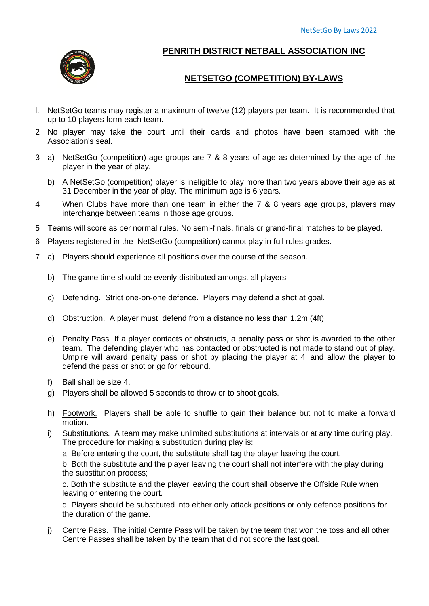

## **PENRITH DISTRICT NETBALL ASSOCIATION INC**

## **NETSETGO (COMPETITION) BY-LAWS**

- l. NetSetGo teams may register a maximum of twelve (12) players per team. It is recommended that up to 10 players form each team.
- 2 No player may take the court until their cards and photos have been stamped with the Association's seal.
- 3 a) NetSetGo (competition) age groups are 7 & 8 years of age as determined by the age of the player in the year of play.
	- b) A NetSetGo (competition) player is ineligible to play more than two years above their age as at 31 December in the year of play. The minimum age is 6 years.
- 4 When Clubs have more than one team in either the 7 & 8 years age groups, players may interchange between teams in those age groups.
- 5 Teams will score as per normal rules. No semi-finals, finals or grand-final matches to be played.
- 6 Players registered in the NetSetGo (competition) cannot play in full rules grades.
- 7 a) Players should experience all positions over the course of the season.
	- b) The game time should be evenly distributed amongst all players
	- c) Defending. Strict one-on-one defence. Players may defend a shot at goal.
	- d) Obstruction. A player must defend from a distance no less than 1.2m (4ft).
	- e) Penalty Pass If a player contacts or obstructs, a penalty pass or shot is awarded to the other team. The defending player who has contacted or obstructed is not made to stand out of play. Umpire will award penalty pass or shot by placing the player at 4' and allow the player to defend the pass or shot or go for rebound.
	- f) Ball shall be size 4.
	- g) Players shall be allowed 5 seconds to throw or to shoot goals.
	- h) Footwork. Players shall be able to shuffle to gain their balance but not to make a forward motion.
	- i) Substitutions. A team may make unlimited substitutions at intervals or at any time during play. The procedure for making a substitution during play is:

a. Before entering the court, the substitute shall tag the player leaving the court.

b. Both the substitute and the player leaving the court shall not interfere with the play during the substitution process;

c. Both the substitute and the player leaving the court shall observe the Offside Rule when leaving or entering the court.

d. Players should be substituted into either only attack positions or only defence positions for the duration of the game.

j) Centre Pass. The initial Centre Pass will be taken by the team that won the toss and all other Centre Passes shall be taken by the team that did not score the last goal.